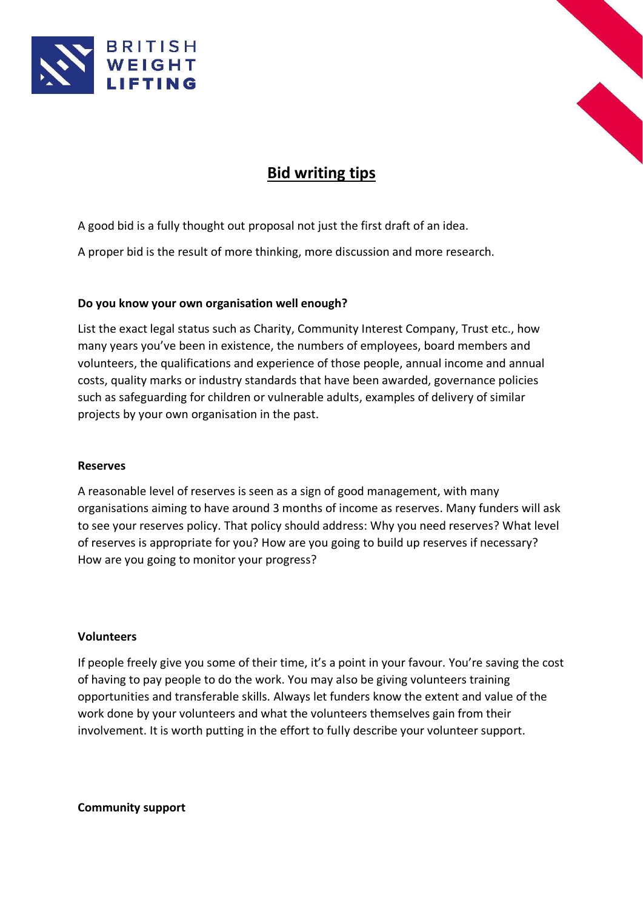



# **Bid writing tips**

A good bid is a fully thought out proposal not just the first draft of an idea.

A proper bid is the result of more thinking, more discussion and more research.

# **Do you know your own organisation well enough?**

List the exact legal status such as Charity, Community Interest Company, Trust etc., how many years you've been in existence, the numbers of employees, board members and volunteers, the qualifications and experience of those people, annual income and annual costs, quality marks or industry standards that have been awarded, governance policies such as safeguarding for children or vulnerable adults, examples of delivery of similar projects by your own organisation in the past.

#### **Reserves**

A reasonable level of reserves is seen as a sign of good management, with many organisations aiming to have around 3 months of income as reserves. Many funders will ask to see your reserves policy. That policy should address: Why you need reserves? What level of reserves is appropriate for you? How are you going to build up reserves if necessary? How are you going to monitor your progress?

#### **Volunteers**

If people freely give you some of their time, it's a point in your favour. You're saving the cost of having to pay people to do the work. You may also be giving volunteers training opportunities and transferable skills. Always let funders know the extent and value of the work done by your volunteers and what the volunteers themselves gain from their involvement. It is worth putting in the effort to fully describe your volunteer support.

**Community support**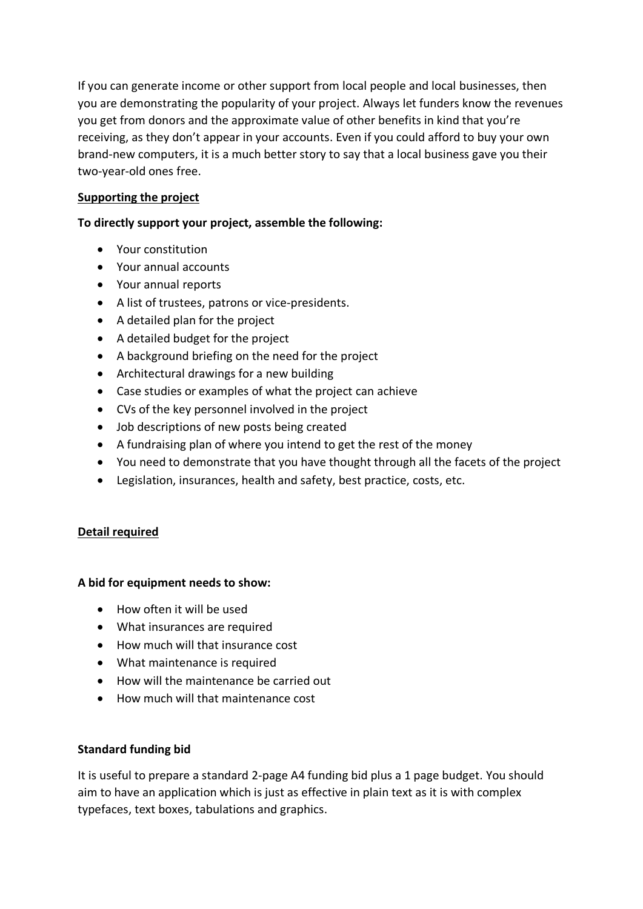If you can generate income or other support from local people and local businesses, then you are demonstrating the popularity of your project. Always let funders know the revenues you get from donors and the approximate value of other benefits in kind that you're receiving, as they don't appear in your accounts. Even if you could afford to buy your own brand-new computers, it is a much better story to say that a local business gave you their two-year-old ones free.

# **Supporting the project**

# **To directly support your project, assemble the following:**

- Your constitution
- Your annual accounts
- Your annual reports
- A list of trustees, patrons or vice-presidents.
- A detailed plan for the project
- A detailed budget for the project
- A background briefing on the need for the project
- Architectural drawings for a new building
- Case studies or examples of what the project can achieve
- CVs of the key personnel involved in the project
- Job descriptions of new posts being created
- A fundraising plan of where you intend to get the rest of the money
- You need to demonstrate that you have thought through all the facets of the project
- Legislation, insurances, health and safety, best practice, costs, etc.

# **Detail required**

# **A bid for equipment needs to show:**

- How often it will be used
- What insurances are required
- How much will that insurance cost
- What maintenance is required
- How will the maintenance be carried out
- How much will that maintenance cost

# **Standard funding bid**

It is useful to prepare a standard 2-page A4 funding bid plus a 1 page budget. You should aim to have an application which is just as effective in plain text as it is with complex typefaces, text boxes, tabulations and graphics.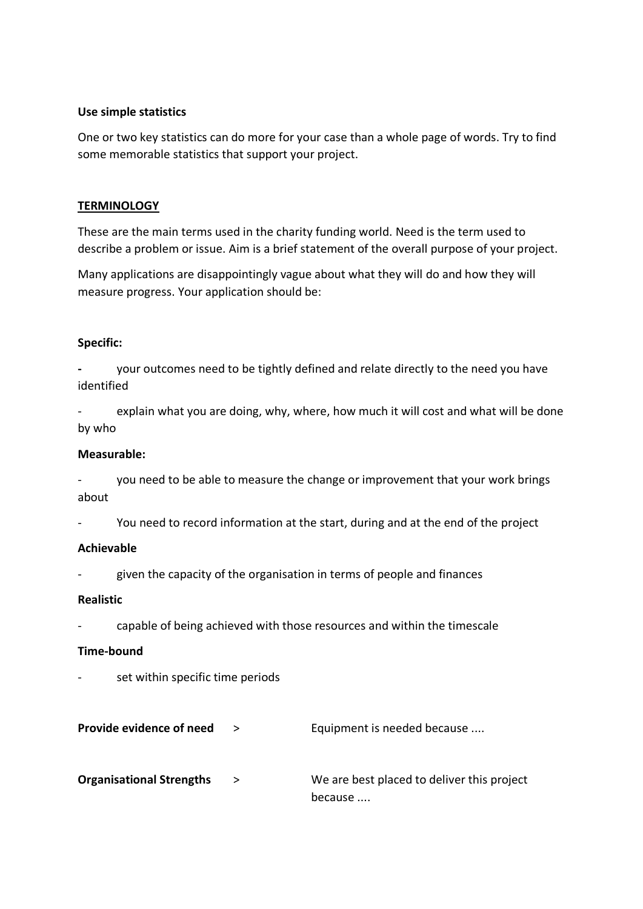### **Use simple statistics**

One or two key statistics can do more for your case than a whole page of words. Try to find some memorable statistics that support your project.

# **TERMINOLOGY**

These are the main terms used in the charity funding world. Need is the term used to describe a problem or issue. Aim is a brief statement of the overall purpose of your project.

Many applications are disappointingly vague about what they will do and how they will measure progress. Your application should be:

# **Specific:**

**-** your outcomes need to be tightly defined and relate directly to the need you have identified

explain what you are doing, why, where, how much it will cost and what will be done by who

# **Measurable:**

- you need to be able to measure the change or improvement that your work brings about

- You need to record information at the start, during and at the end of the project

#### **Achievable**

given the capacity of the organisation in terms of people and finances

#### **Realistic**

- capable of being achieved with those resources and within the timescale

#### **Time-bound**

- set within specific time periods
- **Provide evidence of need** > Equipment is needed because .... **Organisational Strengths** > We are best placed to deliver this project because ....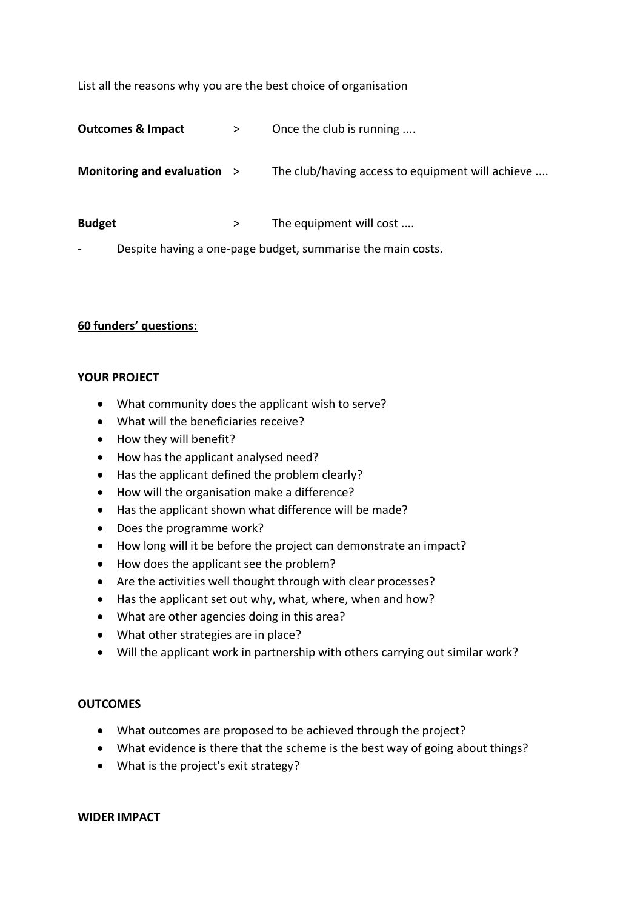List all the reasons why you are the best choice of organisation

**Outcomes & Impact** > Once the club is running ....

**Monitoring and evaluation > The club/having access to equipment will achieve ....** 

**Budget** > The equipment will cost ....

Despite having a one-page budget, summarise the main costs.

#### **60 funders' questions:**

#### **YOUR PROJECT**

- What community does the applicant wish to serve?
- What will the beneficiaries receive?
- How they will benefit?
- How has the applicant analysed need?
- Has the applicant defined the problem clearly?
- How will the organisation make a difference?
- Has the applicant shown what difference will be made?
- Does the programme work?
- How long will it be before the project can demonstrate an impact?
- How does the applicant see the problem?
- Are the activities well thought through with clear processes?
- Has the applicant set out why, what, where, when and how?
- What are other agencies doing in this area?
- What other strategies are in place?
- Will the applicant work in partnership with others carrying out similar work?

#### **OUTCOMES**

- What outcomes are proposed to be achieved through the project?
- What evidence is there that the scheme is the best way of going about things?
- What is the project's exit strategy?

#### **WIDER IMPACT**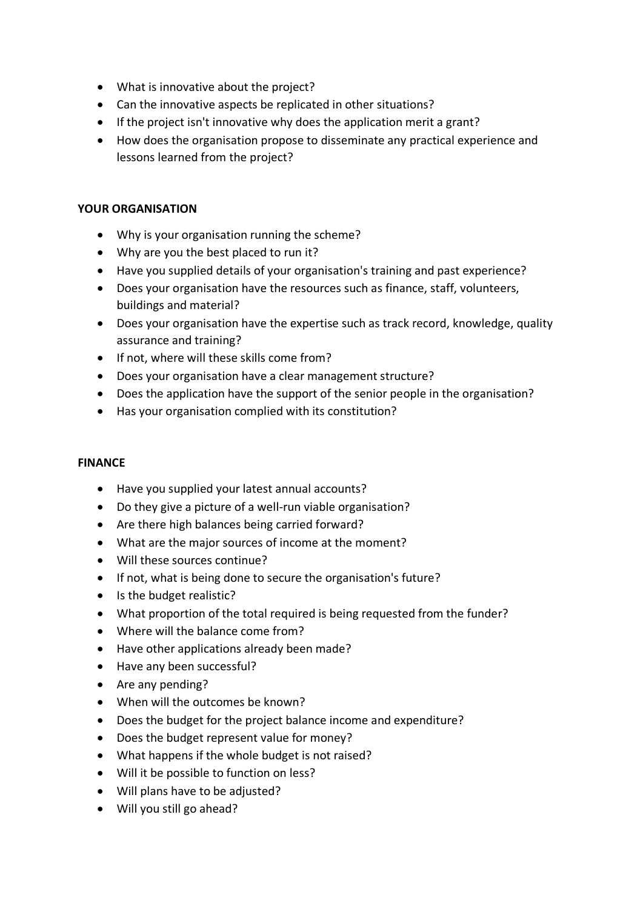- What is innovative about the project?
- Can the innovative aspects be replicated in other situations?
- If the project isn't innovative why does the application merit a grant?
- How does the organisation propose to disseminate any practical experience and lessons learned from the project?

# **YOUR ORGANISATION**

- Why is your organisation running the scheme?
- Why are you the best placed to run it?
- Have you supplied details of your organisation's training and past experience?
- Does your organisation have the resources such as finance, staff, volunteers, buildings and material?
- Does your organisation have the expertise such as track record, knowledge, quality assurance and training?
- If not, where will these skills come from?
- Does your organisation have a clear management structure?
- Does the application have the support of the senior people in the organisation?
- Has your organisation complied with its constitution?

#### **FINANCE**

- Have you supplied your latest annual accounts?
- Do they give a picture of a well-run viable organisation?
- Are there high balances being carried forward?
- What are the major sources of income at the moment?
- Will these sources continue?
- If not, what is being done to secure the organisation's future?
- Is the budget realistic?
- What proportion of the total required is being requested from the funder?
- Where will the balance come from?
- Have other applications already been made?
- Have any been successful?
- Are any pending?
- When will the outcomes be known?
- Does the budget for the project balance income and expenditure?
- Does the budget represent value for money?
- What happens if the whole budget is not raised?
- Will it be possible to function on less?
- Will plans have to be adjusted?
- Will you still go ahead?